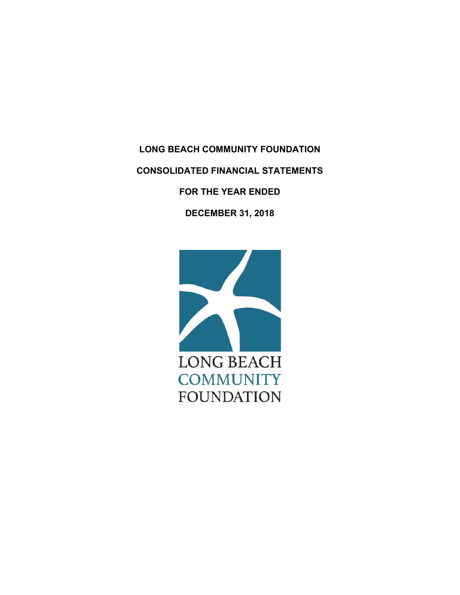**LONG BEACH COMMUNITY FOUNDATION CONSOLIDATED FINANCIAL STATEMENTS FOR THE YEAR ENDED** 

**DECEMBER 31, 2018** 

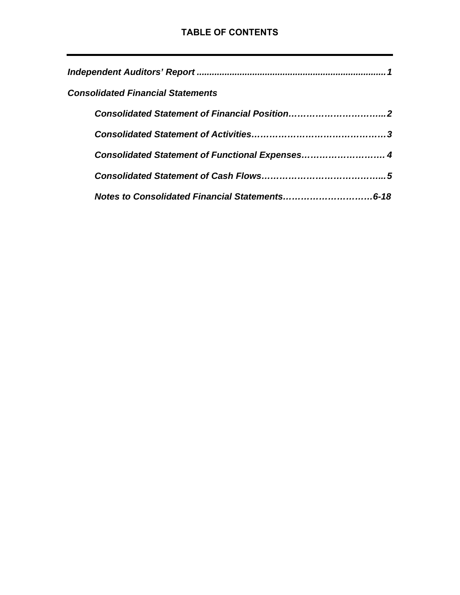| <b>Consolidated Financial Statements</b>       |
|------------------------------------------------|
|                                                |
|                                                |
| Consolidated Statement of Functional Expenses4 |
|                                                |
|                                                |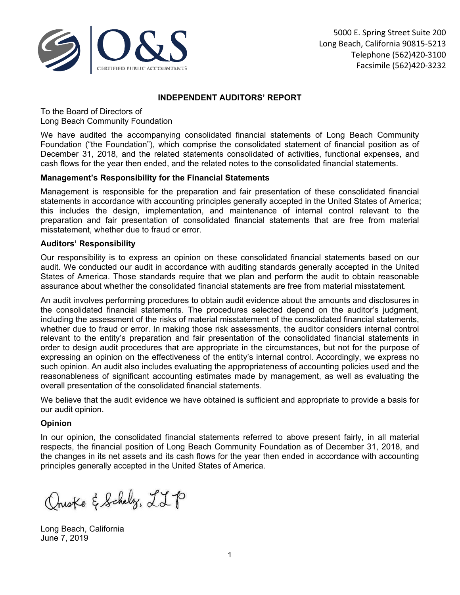

## **INDEPENDENT AUDITORS' REPORT**

To the Board of Directors of Long Beach Community Foundation

We have audited the accompanying consolidated financial statements of Long Beach Community Foundation ("the Foundation"), which comprise the consolidated statement of financial position as of December 31, 2018, and the related statements consolidated of activities, functional expenses, and cash flows for the year then ended, and the related notes to the consolidated financial statements.

## **Management's Responsibility for the Financial Statements**

Management is responsible for the preparation and fair presentation of these consolidated financial statements in accordance with accounting principles generally accepted in the United States of America; this includes the design, implementation, and maintenance of internal control relevant to the preparation and fair presentation of consolidated financial statements that are free from material misstatement, whether due to fraud or error.

## **Auditors' Responsibility**

Our responsibility is to express an opinion on these consolidated financial statements based on our audit. We conducted our audit in accordance with auditing standards generally accepted in the United States of America. Those standards require that we plan and perform the audit to obtain reasonable assurance about whether the consolidated financial statements are free from material misstatement.

An audit involves performing procedures to obtain audit evidence about the amounts and disclosures in the consolidated financial statements. The procedures selected depend on the auditor's judgment, including the assessment of the risks of material misstatement of the consolidated financial statements, whether due to fraud or error. In making those risk assessments, the auditor considers internal control relevant to the entity's preparation and fair presentation of the consolidated financial statements in order to design audit procedures that are appropriate in the circumstances, but not for the purpose of expressing an opinion on the effectiveness of the entity's internal control. Accordingly, we express no such opinion. An audit also includes evaluating the appropriateness of accounting policies used and the reasonableness of significant accounting estimates made by management, as well as evaluating the overall presentation of the consolidated financial statements.

We believe that the audit evidence we have obtained is sufficient and appropriate to provide a basis for our audit opinion.

## **Opinion**

In our opinion, the consolidated financial statements referred to above present fairly, in all material respects, the financial position of Long Beach Community Foundation as of December 31, 2018, and the changes in its net assets and its cash flows for the year then ended in accordance with accounting principles generally accepted in the United States of America.

Questo & Schelz, LLP

Long Beach, California June 7, 2019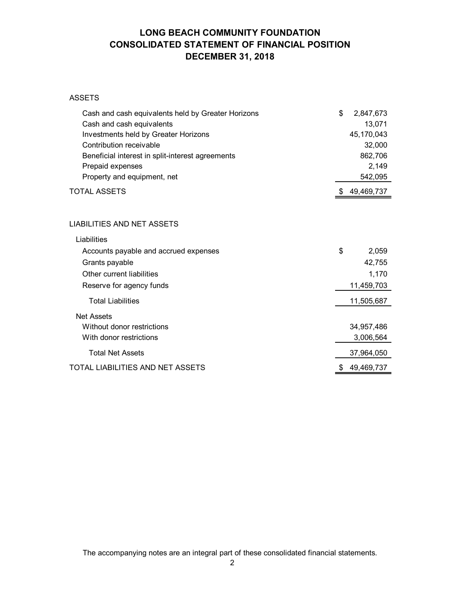# **LONG BEACH COMMUNITY FOUNDATION CONSOLIDATED STATEMENT OF FINANCIAL POSITION DECEMBER 31, 2018**

#### ASSETS

| Cash and cash equivalents held by Greater Horizons | \$<br>2,847,673  |
|----------------------------------------------------|------------------|
| Cash and cash equivalents                          | 13,071           |
| Investments held by Greater Horizons               | 45,170,043       |
| Contribution receivable                            | 32,000           |
| Beneficial interest in split-interest agreements   | 862,706          |
| Prepaid expenses                                   | 2,149            |
| Property and equipment, net                        | 542,095          |
| TOTAL ASSETS                                       | 49,469,737       |
| LIABILITIES AND NET ASSETS                         |                  |
| Liabilities                                        |                  |
|                                                    |                  |
| Accounts payable and accrued expenses              | \$<br>2,059      |
| Grants payable                                     | 42,755           |
| Other current liabilities                          | 1,170            |
| Reserve for agency funds                           | 11,459,703       |
| <b>Total Liabilities</b>                           | 11,505,687       |
| <b>Net Assets</b>                                  |                  |
| Without donor restrictions                         | 34,957,486       |
| With donor restrictions                            | 3,006,564        |
| <b>Total Net Assets</b>                            | 37,964,050       |
| TOTAL LIABILITIES AND NET ASSETS                   | 49,469,737<br>\$ |
|                                                    |                  |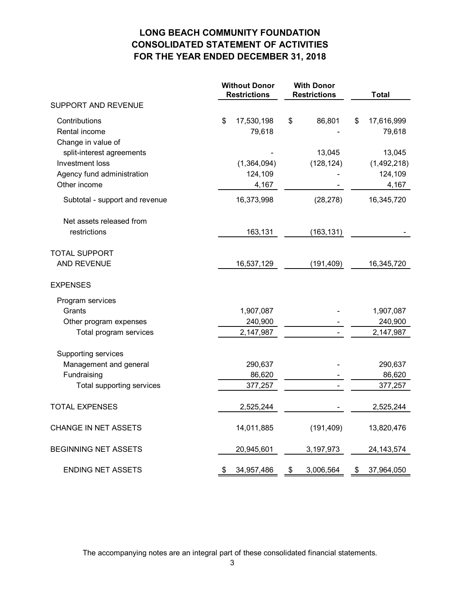# **LONG BEACH COMMUNITY FOUNDATION CONSOLIDATED STATEMENT OF ACTIVITIES FOR THE YEAR ENDED DECEMBER 31, 2018**

|                                | <b>Without Donor</b><br><b>Restrictions</b> | <b>With Donor</b><br><b>Total</b><br><b>Restrictions</b> |                  |
|--------------------------------|---------------------------------------------|----------------------------------------------------------|------------------|
| SUPPORT AND REVENUE            |                                             |                                                          |                  |
| Contributions                  | \$<br>17,530,198                            | \$<br>86,801                                             | 17,616,999<br>\$ |
| Rental income                  | 79,618                                      |                                                          | 79,618           |
| Change in value of             |                                             |                                                          |                  |
| split-interest agreements      |                                             | 13,045                                                   | 13,045           |
| Investment loss                | (1,364,094)                                 | (128, 124)                                               | (1,492,218)      |
| Agency fund administration     | 124,109                                     |                                                          | 124,109          |
| Other income                   | 4,167                                       |                                                          | 4,167            |
| Subtotal - support and revenue | 16,373,998                                  | (28, 278)                                                | 16,345,720       |
| Net assets released from       |                                             |                                                          |                  |
| restrictions                   | 163,131                                     | (163, 131)                                               |                  |
| <b>TOTAL SUPPORT</b>           |                                             |                                                          |                  |
| AND REVENUE                    | 16,537,129                                  | (191, 409)                                               | 16,345,720       |
| <b>EXPENSES</b>                |                                             |                                                          |                  |
| Program services               |                                             |                                                          |                  |
| Grants                         | 1,907,087                                   |                                                          | 1,907,087        |
| Other program expenses         | 240,900                                     |                                                          | 240,900          |
| Total program services         | 2,147,987                                   |                                                          | 2,147,987        |
| Supporting services            |                                             |                                                          |                  |
| Management and general         | 290,637                                     |                                                          | 290,637          |
| Fundraising                    | 86,620                                      |                                                          | 86,620           |
| Total supporting services      | 377,257                                     |                                                          | 377,257          |
| <b>TOTAL EXPENSES</b>          | 2,525,244                                   |                                                          | 2,525,244        |
| CHANGE IN NET ASSETS           | 14,011,885                                  | (191, 409)                                               | 13,820,476       |
| <b>BEGINNING NET ASSETS</b>    | 20,945,601                                  | 3,197,973                                                | 24, 143, 574     |
| <b>ENDING NET ASSETS</b>       | \$<br>34,957,486                            | \$<br>3,006,564                                          | \$<br>37,964,050 |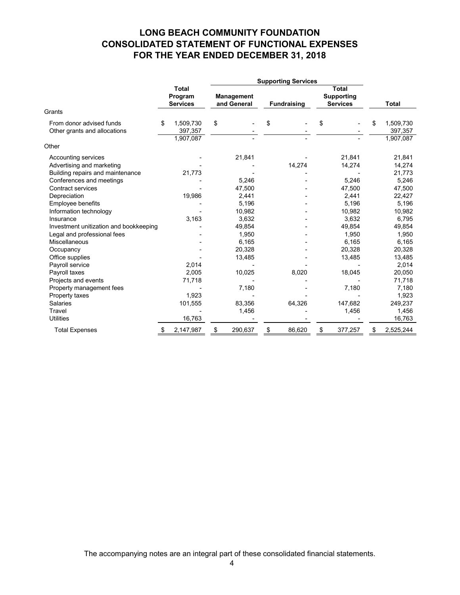# **LONG BEACH COMMUNITY FOUNDATION CONSOLIDATED STATEMENT OF FUNCTIONAL EXPENSES FOR THE YEAR ENDED DECEMBER 31, 2018**

|                                                                       |    |                                            | <b>Supporting Services</b> |                                  |    |                    |    |                                                      |    |                           |
|-----------------------------------------------------------------------|----|--------------------------------------------|----------------------------|----------------------------------|----|--------------------|----|------------------------------------------------------|----|---------------------------|
|                                                                       |    | <b>Total</b><br>Program<br><b>Services</b> |                            | <b>Management</b><br>and General |    | <b>Fundraising</b> |    | <b>Total</b><br><b>Supporting</b><br><b>Services</b> |    | <b>Total</b>              |
| Grants                                                                |    |                                            |                            |                                  |    |                    |    |                                                      |    |                           |
| From donor advised funds<br>Other grants and allocations              | \$ | 1,509,730<br>397,357                       | \$                         |                                  | \$ |                    | \$ |                                                      | \$ | 1,509,730<br>397,357      |
| Other                                                                 |    | 1,907,087                                  |                            |                                  |    |                    |    |                                                      |    | 1,907,087                 |
| Accounting services<br>Advertising and marketing                      |    |                                            |                            | 21,841                           |    | 14,274             |    | 21,841<br>14,274                                     |    | 21,841<br>14,274          |
| Building repairs and maintenance<br>Conferences and meetings          |    | 21,773                                     |                            | 5.246                            |    |                    |    | 5,246                                                |    | 21,773<br>5,246           |
| Contract services<br>Depreciation<br>Employee benefits                |    | 19,986                                     |                            | 47,500<br>2,441<br>5.196         |    |                    |    | 47,500<br>2,441<br>5,196                             |    | 47,500<br>22,427<br>5,196 |
| Information technology<br>Insurance                                   |    | 3,163                                      |                            | 10,982<br>3,632                  |    |                    |    | 10,982<br>3,632                                      |    | 10,982<br>6,795           |
| Investment unitization and bookkeeping<br>Legal and professional fees |    |                                            |                            | 49,854<br>1,950                  |    |                    |    | 49,854<br>1,950                                      |    | 49,854<br>1,950           |
| Miscellaneous<br>Occupancy                                            |    |                                            |                            | 6,165<br>20,328                  |    |                    |    | 6,165<br>20,328                                      |    | 6,165<br>20,328           |
| Office supplies<br>Payroll service<br>Payroll taxes                   |    | 2,014<br>2,005                             |                            | 13,485<br>10,025                 |    | 8,020              |    | 13,485<br>18,045                                     |    | 13,485<br>2,014<br>20,050 |
| Projects and events<br>Property management fees                       |    | 71,718                                     |                            | 7,180                            |    |                    |    | 7,180                                                |    | 71,718<br>7,180           |
| Property taxes<br><b>Salaries</b>                                     |    | 1,923<br>101,555                           |                            | 83,356                           |    | 64,326             |    | 147,682                                              |    | 1,923<br>249,237          |
| Travel<br><b>Utilities</b>                                            |    | 16,763                                     |                            | 1,456                            |    |                    |    | 1,456                                                |    | 1,456<br>16,763           |
| <b>Total Expenses</b>                                                 |    | 2,147,987                                  | \$                         | 290,637                          | \$ | 86,620             | \$ | 377,257                                              |    | 2,525,244                 |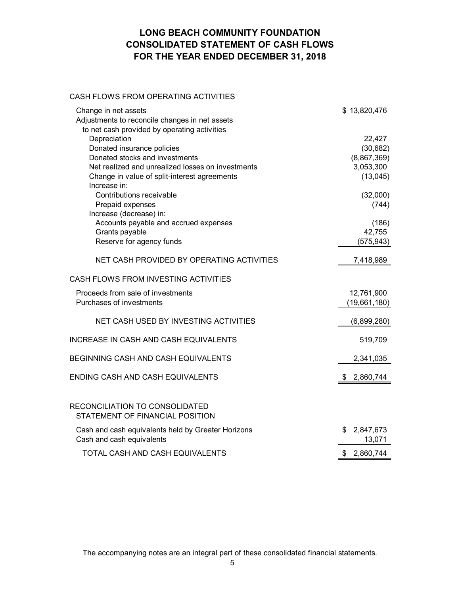# **LONG BEACH COMMUNITY FOUNDATION CONSOLIDATED STATEMENT OF CASH FLOWS FOR THE YEAR ENDED DECEMBER 31, 2018**

## CASH FLOWS FROM OPERATING ACTIVITIES

| Change in net assets                                                            | \$13,820,476              |
|---------------------------------------------------------------------------------|---------------------------|
| Adjustments to reconcile changes in net assets                                  |                           |
| to net cash provided by operating activities                                    |                           |
| Depreciation<br>Donated insurance policies                                      | 22,427<br>(30, 682)       |
| Donated stocks and investments                                                  | (8,867,369)               |
| Net realized and unrealized losses on investments                               | 3,053,300                 |
| Change in value of split-interest agreements                                    | (13,045)                  |
| Increase in:                                                                    |                           |
| Contributions receivable                                                        | (32,000)                  |
| Prepaid expenses                                                                | (744)                     |
| Increase (decrease) in:                                                         |                           |
| Accounts payable and accrued expenses                                           | (186)                     |
| Grants payable                                                                  | 42,755                    |
| Reserve for agency funds                                                        | (575, 943)                |
| NET CASH PROVIDED BY OPERATING ACTIVITIES                                       | 7,418,989                 |
|                                                                                 |                           |
| CASH FLOWS FROM INVESTING ACTIVITIES                                            |                           |
| Proceeds from sale of investments                                               | 12,761,900                |
| Purchases of investments                                                        | (19,661,180)              |
| NET CASH USED BY INVESTING ACTIVITIES                                           |                           |
|                                                                                 | (6,899,280)               |
| <b>INCREASE IN CASH AND CASH EQUIVALENTS</b>                                    | 519,709                   |
| BEGINNING CASH AND CASH EQUIVALENTS                                             | 2,341,035                 |
| ENDING CASH AND CASH EQUIVALENTS                                                | 2,860,744<br>\$.          |
|                                                                                 |                           |
| RECONCILIATION TO CONSOLIDATED<br>STATEMENT OF FINANCIAL POSITION               |                           |
| Cash and cash equivalents held by Greater Horizons<br>Cash and cash equivalents | 2,847,673<br>\$<br>13,071 |
| TOTAL CASH AND CASH EQUIVALENTS                                                 | 2,860,744<br>\$           |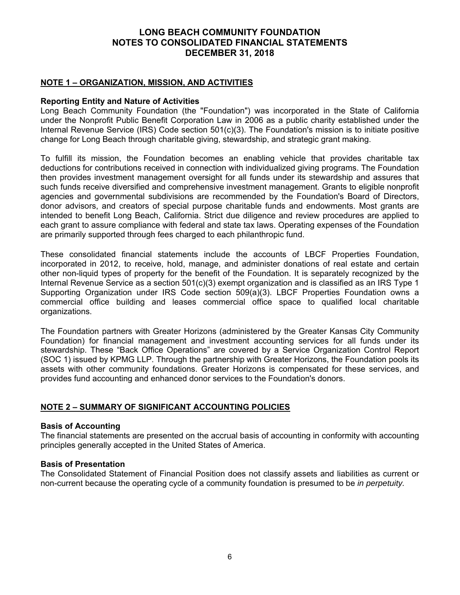## **NOTE 1 – ORGANIZATION, MISSION, AND ACTIVITIES**

## **Reporting Entity and Nature of Activities**

Long Beach Community Foundation (the "Foundation") was incorporated in the State of California under the Nonprofit Public Benefit Corporation Law in 2006 as a public charity established under the Internal Revenue Service (IRS) Code section 501(c)(3). The Foundation's mission is to initiate positive change for Long Beach through charitable giving, stewardship, and strategic grant making.

To fulfill its mission, the Foundation becomes an enabling vehicle that provides charitable tax deductions for contributions received in connection with individualized giving programs. The Foundation then provides investment management oversight for all funds under its stewardship and assures that such funds receive diversified and comprehensive investment management. Grants to eligible nonprofit agencies and governmental subdivisions are recommended by the Foundation's Board of Directors, donor advisors, and creators of special purpose charitable funds and endowments. Most grants are intended to benefit Long Beach, California. Strict due diligence and review procedures are applied to each grant to assure compliance with federal and state tax laws. Operating expenses of the Foundation are primarily supported through fees charged to each philanthropic fund.

These consolidated financial statements include the accounts of LBCF Properties Foundation, incorporated in 2012, to receive, hold, manage, and administer donations of real estate and certain other non-liquid types of property for the benefit of the Foundation. It is separately recognized by the Internal Revenue Service as a section 501(c)(3) exempt organization and is classified as an IRS Type 1 Supporting Organization under IRS Code section 509(a)(3). LBCF Properties Foundation owns a commercial office building and leases commercial office space to qualified local charitable organizations.

The Foundation partners with Greater Horizons (administered by the Greater Kansas City Community Foundation) for financial management and investment accounting services for all funds under its stewardship. These "Back Office Operations" are covered by a Service Organization Control Report (SOC 1) issued by KPMG LLP. Through the partnership with Greater Horizons, the Foundation pools its assets with other community foundations. Greater Horizons is compensated for these services, and provides fund accounting and enhanced donor services to the Foundation's donors.

## **NOTE 2 – SUMMARY OF SIGNIFICANT ACCOUNTING POLICIES**

### **Basis of Accounting**

The financial statements are presented on the accrual basis of accounting in conformity with accounting principles generally accepted in the United States of America.

## **Basis of Presentation**

The Consolidated Statement of Financial Position does not classify assets and liabilities as current or non-current because the operating cycle of a community foundation is presumed to be *in perpetuity.*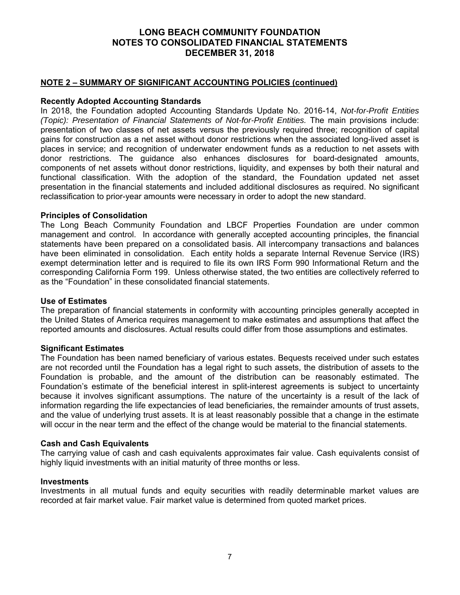## **NOTE 2 – SUMMARY OF SIGNIFICANT ACCOUNTING POLICIES (continued)**

## **Recently Adopted Accounting Standards**

In 2018, the Foundation adopted Accounting Standards Update No. 2016-14, *Not-for-Profit Entities (Topic): Presentation of Financial Statements of Not-for-Profit Entities. The main provisions include:* presentation of two classes of net assets versus the previously required three; recognition of capital gains for construction as a net asset without donor restrictions when the associated long-lived asset is places in service; and recognition of underwater endowment funds as a reduction to net assets with donor restrictions. The guidance also enhances disclosures for board-designated amounts, components of net assets without donor restrictions, liquidity, and expenses by both their natural and functional classification. With the adoption of the standard, the Foundation updated net asset presentation in the financial statements and included additional disclosures as required. No significant reclassification to prior-year amounts were necessary in order to adopt the new standard.

### **Principles of Consolidation**

The Long Beach Community Foundation and LBCF Properties Foundation are under common management and control. In accordance with generally accepted accounting principles, the financial statements have been prepared on a consolidated basis. All intercompany transactions and balances have been eliminated in consolidation. Each entity holds a separate Internal Revenue Service (IRS) exempt determination letter and is required to file its own IRS Form 990 Informational Return and the corresponding California Form 199. Unless otherwise stated, the two entities are collectively referred to as the "Foundation" in these consolidated financial statements.

#### **Use of Estimates**

The preparation of financial statements in conformity with accounting principles generally accepted in the United States of America requires management to make estimates and assumptions that affect the reported amounts and disclosures. Actual results could differ from those assumptions and estimates.

### **Significant Estimates**

The Foundation has been named beneficiary of various estates. Bequests received under such estates are not recorded until the Foundation has a legal right to such assets, the distribution of assets to the Foundation is probable, and the amount of the distribution can be reasonably estimated. The Foundation's estimate of the beneficial interest in split-interest agreements is subject to uncertainty because it involves significant assumptions. The nature of the uncertainty is a result of the lack of information regarding the life expectancies of lead beneficiaries, the remainder amounts of trust assets, and the value of underlying trust assets. It is at least reasonably possible that a change in the estimate will occur in the near term and the effect of the change would be material to the financial statements.

### **Cash and Cash Equivalents**

The carrying value of cash and cash equivalents approximates fair value. Cash equivalents consist of highly liquid investments with an initial maturity of three months or less.

#### **Investments**

Investments in all mutual funds and equity securities with readily determinable market values are recorded at fair market value. Fair market value is determined from quoted market prices.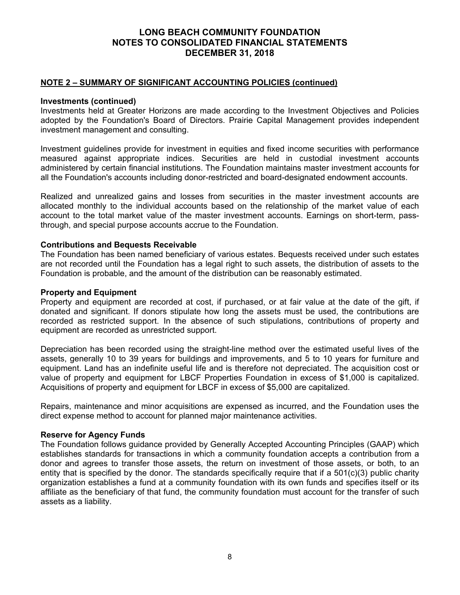## **NOTE 2 – SUMMARY OF SIGNIFICANT ACCOUNTING POLICIES (continued)**

#### **Investments (continued)**

Investments held at Greater Horizons are made according to the Investment Objectives and Policies adopted by the Foundation's Board of Directors. Prairie Capital Management provides independent investment management and consulting.

Investment guidelines provide for investment in equities and fixed income securities with performance measured against appropriate indices. Securities are held in custodial investment accounts administered by certain financial institutions. The Foundation maintains master investment accounts for all the Foundation's accounts including donor-restricted and board-designated endowment accounts.

Realized and unrealized gains and losses from securities in the master investment accounts are allocated monthly to the individual accounts based on the relationship of the market value of each account to the total market value of the master investment accounts. Earnings on short-term, passthrough, and special purpose accounts accrue to the Foundation.

#### **Contributions and Bequests Receivable**

The Foundation has been named beneficiary of various estates. Bequests received under such estates are not recorded until the Foundation has a legal right to such assets, the distribution of assets to the Foundation is probable, and the amount of the distribution can be reasonably estimated.

#### **Property and Equipment**

Property and equipment are recorded at cost, if purchased, or at fair value at the date of the gift, if donated and significant. If donors stipulate how long the assets must be used, the contributions are recorded as restricted support. In the absence of such stipulations, contributions of property and equipment are recorded as unrestricted support.

Depreciation has been recorded using the straight-line method over the estimated useful lives of the assets, generally 10 to 39 years for buildings and improvements, and 5 to 10 years for furniture and equipment. Land has an indefinite useful life and is therefore not depreciated. The acquisition cost or value of property and equipment for LBCF Properties Foundation in excess of \$1,000 is capitalized. Acquisitions of property and equipment for LBCF in excess of \$5,000 are capitalized.

Repairs, maintenance and minor acquisitions are expensed as incurred, and the Foundation uses the direct expense method to account for planned major maintenance activities.

### **Reserve for Agency Funds**

The Foundation follows guidance provided by Generally Accepted Accounting Principles (GAAP) which establishes standards for transactions in which a community foundation accepts a contribution from a donor and agrees to transfer those assets, the return on investment of those assets, or both, to an entity that is specified by the donor. The standards specifically require that if a 501(c)(3) public charity organization establishes a fund at a community foundation with its own funds and specifies itself or its affiliate as the beneficiary of that fund, the community foundation must account for the transfer of such assets as a liability.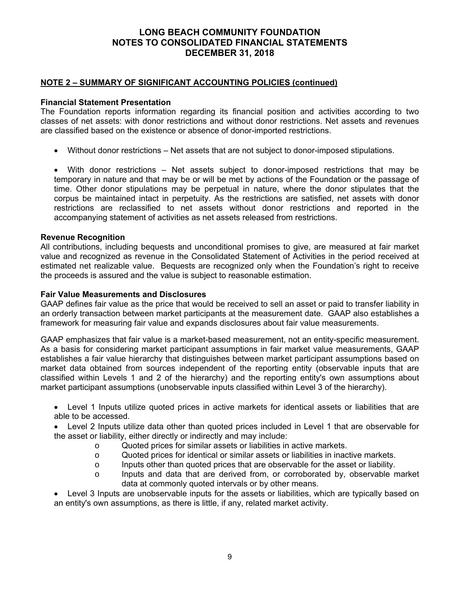## **NOTE 2 – SUMMARY OF SIGNIFICANT ACCOUNTING POLICIES (continued)**

## **Financial Statement Presentation**

The Foundation reports information regarding its financial position and activities according to two classes of net assets: with donor restrictions and without donor restrictions. Net assets and revenues are classified based on the existence or absence of donor-imported restrictions.

Without donor restrictions – Net assets that are not subject to donor-imposed stipulations.

 With donor restrictions – Net assets subject to donor-imposed restrictions that may be temporary in nature and that may be or will be met by actions of the Foundation or the passage of time. Other donor stipulations may be perpetual in nature, where the donor stipulates that the corpus be maintained intact in perpetuity. As the restrictions are satisfied, net assets with donor restrictions are reclassified to net assets without donor restrictions and reported in the accompanying statement of activities as net assets released from restrictions.

### **Revenue Recognition**

All contributions, including bequests and unconditional promises to give, are measured at fair market value and recognized as revenue in the Consolidated Statement of Activities in the period received at estimated net realizable value. Bequests are recognized only when the Foundation's right to receive the proceeds is assured and the value is subject to reasonable estimation.

## **Fair Value Measurements and Disclosures**

GAAP defines fair value as the price that would be received to sell an asset or paid to transfer liability in an orderly transaction between market participants at the measurement date. GAAP also establishes a framework for measuring fair value and expands disclosures about fair value measurements.

GAAP emphasizes that fair value is a market-based measurement, not an entity-specific measurement. As a basis for considering market participant assumptions in fair market value measurements, GAAP establishes a fair value hierarchy that distinguishes between market participant assumptions based on market data obtained from sources independent of the reporting entity (observable inputs that are classified within Levels 1 and 2 of the hierarchy) and the reporting entity's own assumptions about market participant assumptions (unobservable inputs classified within Level 3 of the hierarchy).

- Level 1 Inputs utilize quoted prices in active markets for identical assets or liabilities that are able to be accessed.
- Level 2 Inputs utilize data other than quoted prices included in Level 1 that are observable for the asset or liability, either directly or indirectly and may include:
	- o Quoted prices for similar assets or liabilities in active markets.
	- o Quoted prices for identical or similar assets or liabilities in inactive markets.
	- $\circ$  Inputs other than quoted prices that are observable for the asset or liability.
	- o Inputs and data that are derived from, or corroborated by, observable market data at commonly quoted intervals or by other means.

 Level 3 Inputs are unobservable inputs for the assets or liabilities, which are typically based on an entity's own assumptions, as there is little, if any, related market activity.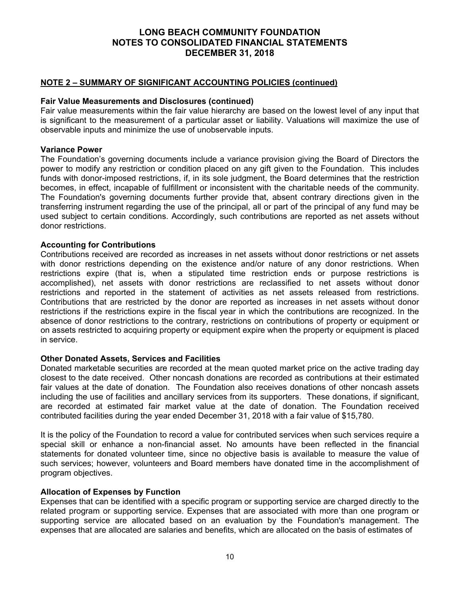## **NOTE 2 – SUMMARY OF SIGNIFICANT ACCOUNTING POLICIES (continued)**

### **Fair Value Measurements and Disclosures (continued)**

Fair value measurements within the fair value hierarchy are based on the lowest level of any input that is significant to the measurement of a particular asset or liability. Valuations will maximize the use of observable inputs and minimize the use of unobservable inputs.

### **Variance Power**

The Foundation's governing documents include a variance provision giving the Board of Directors the power to modify any restriction or condition placed on any gift given to the Foundation. This includes funds with donor-imposed restrictions, if, in its sole judgment, the Board determines that the restriction becomes, in effect, incapable of fulfillment or inconsistent with the charitable needs of the community. The Foundation's governing documents further provide that, absent contrary directions given in the transferring instrument regarding the use of the principal, all or part of the principal of any fund may be used subject to certain conditions. Accordingly, such contributions are reported as net assets without donor restrictions.

### **Accounting for Contributions**

Contributions received are recorded as increases in net assets without donor restrictions or net assets with donor restrictions depending on the existence and/or nature of any donor restrictions. When restrictions expire (that is, when a stipulated time restriction ends or purpose restrictions is accomplished), net assets with donor restrictions are reclassified to net assets without donor restrictions and reported in the statement of activities as net assets released from restrictions. Contributions that are restricted by the donor are reported as increases in net assets without donor restrictions if the restrictions expire in the fiscal year in which the contributions are recognized. In the absence of donor restrictions to the contrary, restrictions on contributions of property or equipment or on assets restricted to acquiring property or equipment expire when the property or equipment is placed in service.

### **Other Donated Assets, Services and Facilities**

Donated marketable securities are recorded at the mean quoted market price on the active trading day closest to the date received. Other noncash donations are recorded as contributions at their estimated fair values at the date of donation. The Foundation also receives donations of other noncash assets including the use of facilities and ancillary services from its supporters. These donations, if significant, are recorded at estimated fair market value at the date of donation. The Foundation received contributed facilities during the year ended December 31, 2018 with a fair value of \$15,780.

It is the policy of the Foundation to record a value for contributed services when such services require a special skill or enhance a non-financial asset. No amounts have been reflected in the financial statements for donated volunteer time, since no objective basis is available to measure the value of such services; however, volunteers and Board members have donated time in the accomplishment of program objectives.

### **Allocation of Expenses by Function**

Expenses that can be identified with a specific program or supporting service are charged directly to the related program or supporting service. Expenses that are associated with more than one program or supporting service are allocated based on an evaluation by the Foundation's management. The expenses that are allocated are salaries and benefits, which are allocated on the basis of estimates of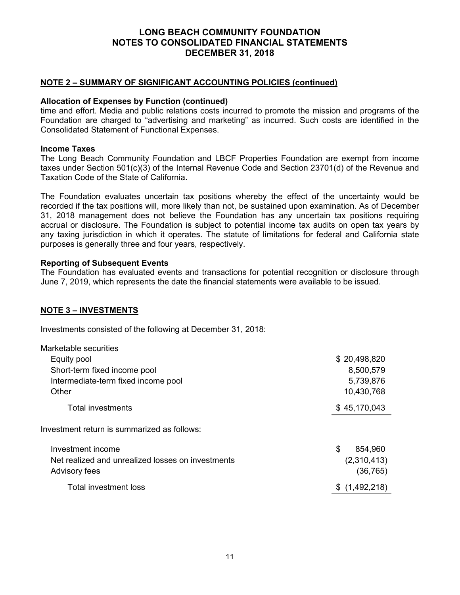## **NOTE 2 – SUMMARY OF SIGNIFICANT ACCOUNTING POLICIES (continued)**

### **Allocation of Expenses by Function (continued)**

time and effort. Media and public relations costs incurred to promote the mission and programs of the Foundation are charged to "advertising and marketing" as incurred. Such costs are identified in the Consolidated Statement of Functional Expenses.

#### **Income Taxes**

The Long Beach Community Foundation and LBCF Properties Foundation are exempt from income taxes under Section 501(c)(3) of the Internal Revenue Code and Section 23701(d) of the Revenue and Taxation Code of the State of California.

The Foundation evaluates uncertain tax positions whereby the effect of the uncertainty would be recorded if the tax positions will, more likely than not, be sustained upon examination. As of December 31, 2018 management does not believe the Foundation has any uncertain tax positions requiring accrual or disclosure. The Foundation is subject to potential income tax audits on open tax years by any taxing jurisdiction in which it operates. The statute of limitations for federal and California state purposes is generally three and four years, respectively.

#### **Reporting of Subsequent Events**

The Foundation has evaluated events and transactions for potential recognition or disclosure through June 7, 2019, which represents the date the financial statements were available to be issued.

### **NOTE 3 – INVESTMENTS**

Investments consisted of the following at December 31, 2018:

| \$20,498,820<br>Equity pool                                      |          |
|------------------------------------------------------------------|----------|
|                                                                  |          |
| Short-term fixed income pool<br>8,500,579                        |          |
| 5,739,876<br>Intermediate-term fixed income pool                 |          |
| Other<br>10,430,768                                              |          |
| Total investments<br>\$45,170,043                                |          |
| Investment return is summarized as follows:                      |          |
| \$<br>Investment income                                          | 854,960  |
| Net realized and unrealized losses on investments<br>(2,310,413) |          |
| <b>Advisory fees</b>                                             | (36,765) |
| Total investment loss<br>\$(1,492,218)                           |          |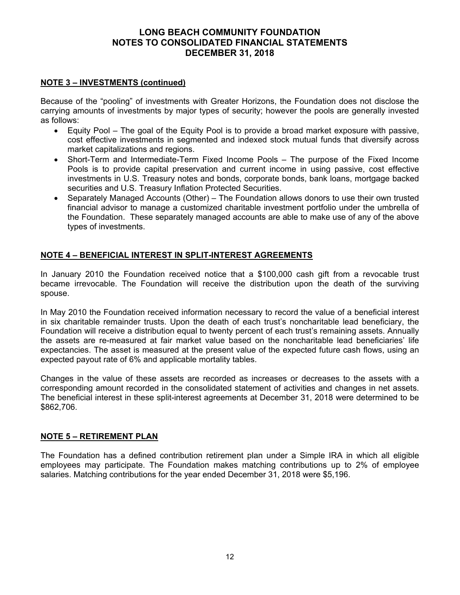## **NOTE 3 – INVESTMENTS (continued)**

Because of the "pooling" of investments with Greater Horizons, the Foundation does not disclose the carrying amounts of investments by major types of security; however the pools are generally invested as follows:

- Equity Pool The goal of the Equity Pool is to provide a broad market exposure with passive, cost effective investments in segmented and indexed stock mutual funds that diversify across market capitalizations and regions.
- Short-Term and Intermediate-Term Fixed Income Pools The purpose of the Fixed Income Pools is to provide capital preservation and current income in using passive, cost effective investments in U.S. Treasury notes and bonds, corporate bonds, bank loans, mortgage backed securities and U.S. Treasury Inflation Protected Securities.
- Separately Managed Accounts (Other) The Foundation allows donors to use their own trusted financial advisor to manage a customized charitable investment portfolio under the umbrella of the Foundation. These separately managed accounts are able to make use of any of the above types of investments.

## **NOTE 4 – BENEFICIAL INTEREST IN SPLIT-INTEREST AGREEMENTS**

In January 2010 the Foundation received notice that a \$100,000 cash gift from a revocable trust became irrevocable. The Foundation will receive the distribution upon the death of the surviving spouse.

In May 2010 the Foundation received information necessary to record the value of a beneficial interest in six charitable remainder trusts. Upon the death of each trust's noncharitable lead beneficiary, the Foundation will receive a distribution equal to twenty percent of each trust's remaining assets. Annually the assets are re-measured at fair market value based on the noncharitable lead beneficiaries' life expectancies. The asset is measured at the present value of the expected future cash flows, using an expected payout rate of 6% and applicable mortality tables.

Changes in the value of these assets are recorded as increases or decreases to the assets with a corresponding amount recorded in the consolidated statement of activities and changes in net assets. The beneficial interest in these split-interest agreements at December 31, 2018 were determined to be \$862,706.

### **NOTE 5 – RETIREMENT PLAN**

The Foundation has a defined contribution retirement plan under a Simple IRA in which all eligible employees may participate. The Foundation makes matching contributions up to 2% of employee salaries. Matching contributions for the year ended December 31, 2018 were \$5,196.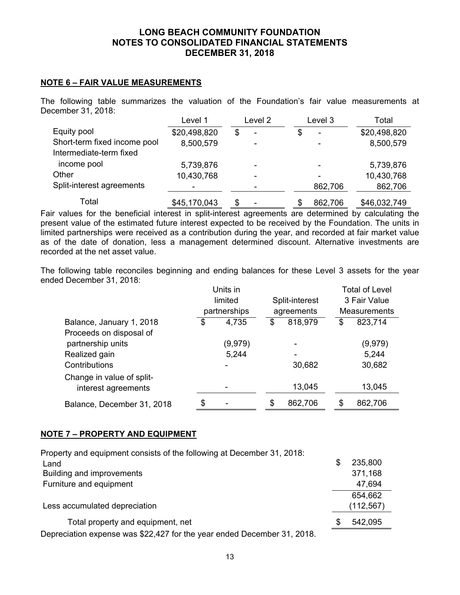## **NOTE 6 – FAIR VALUE MEASUREMENTS**

The following table summarizes the valuation of the Foundation's fair value measurements at December 31, 2018:

|                              | Level 1                  | Level 2 |   | Level 3                  | Total        |
|------------------------------|--------------------------|---------|---|--------------------------|--------------|
| Equity pool                  | \$20,498,820             | \$<br>۰ | S | $\overline{\phantom{0}}$ | \$20,498,820 |
| Short-term fixed income pool | 8,500,579                |         |   |                          | 8,500,579    |
| Intermediate-term fixed      |                          |         |   |                          |              |
| income pool                  | 5,739,876                | ۰       |   | $\overline{\phantom{0}}$ | 5,739,876    |
| Other                        | 10,430,768               | -       |   |                          | 10,430,768   |
| Split-interest agreements    | $\overline{\phantom{0}}$ |         |   | 862,706                  | 862,706      |
| Total                        | \$45,170,043             | \$      |   | 862,706                  | \$46,032,749 |

Fair values for the beneficial interest in split-interest agreements are determined by calculating the present value of the estimated future interest expected to be received by the Foundation. The units in limited partnerships were received as a contribution during the year, and recorded at fair market value as of the date of donation, less a management determined discount. Alternative investments are recorded at the net asset value.

The following table reconciles beginning and ending balances for these Level 3 assets for the year ended December 31, 2018:

|                            |         | Units in     |            |                |              | <b>Total of Level</b> |  |
|----------------------------|---------|--------------|------------|----------------|--------------|-----------------------|--|
|                            | limited |              |            | Split-interest | 3 Fair Value |                       |  |
|                            |         | partnerships | agreements |                |              | <b>Measurements</b>   |  |
| Balance, January 1, 2018   | \$      | 4,735        | S          | 818,979        | \$           | 823,714               |  |
| Proceeds on disposal of    |         |              |            |                |              |                       |  |
| partnership units          |         | (9,979)      |            |                |              | (9,979)               |  |
| Realized gain              |         | 5,244        |            |                |              | 5,244                 |  |
| Contributions              |         |              |            | 30,682         |              | 30,682                |  |
| Change in value of split-  |         |              |            |                |              |                       |  |
| interest agreements        |         |              |            | 13,045         |              | 13,045                |  |
| Balance, December 31, 2018 | \$      |              | \$         | 862,706        | \$           | 862,706               |  |

## **NOTE 7 – PROPERTY AND EQUIPMENT**

| Property and equipment consists of the following at December 31, 2018:  |   |            |
|-------------------------------------------------------------------------|---|------------|
| Land                                                                    | S | 235,800    |
| Building and improvements                                               |   | 371,168    |
| Furniture and equipment                                                 |   | 47,694     |
|                                                                         |   | 654,662    |
| Less accumulated depreciation                                           |   | (112, 567) |
| Total property and equipment, net                                       | S | 542,095    |
| Depreciation expense was \$22,427 for the year ended December 31, 2018. |   |            |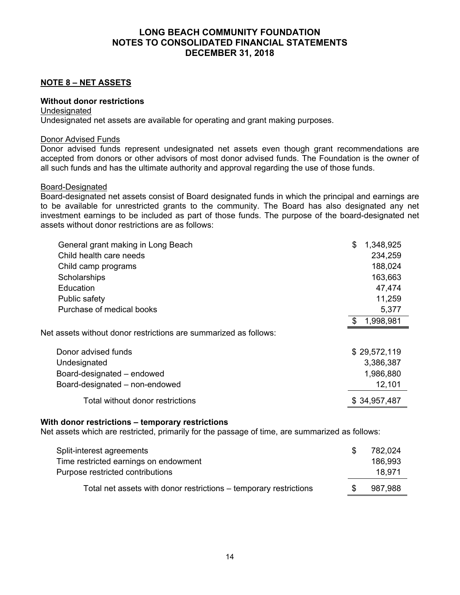## **NOTE 8 – NET ASSETS**

## **Without donor restrictions**

## **Undesignated**

Undesignated net assets are available for operating and grant making purposes.

### Donor Advised Funds

Donor advised funds represent undesignated net assets even though grant recommendations are accepted from donors or other advisors of most donor advised funds. The Foundation is the owner of all such funds and has the ultimate authority and approval regarding the use of those funds.

### Board-Designated

Board-designated net assets consist of Board designated funds in which the principal and earnings are to be available for unrestricted grants to the community. The Board has also designated any net investment earnings to be included as part of those funds. The purpose of the board-designated net assets without donor restrictions are as follows:

| General grant making in Long Beach                               | \$<br>1,348,925 |
|------------------------------------------------------------------|-----------------|
| Child health care needs                                          | 234,259         |
| Child camp programs                                              | 188,024         |
| Scholarships                                                     | 163,663         |
| Education                                                        | 47,474          |
| Public safety                                                    | 11,259          |
| Purchase of medical books                                        | 5,377           |
|                                                                  | 1,998,981<br>\$ |
| Net assets without donor restrictions are summarized as follows: |                 |
| Donor advised funds                                              | \$29,572,119    |
| Undesignated                                                     | 3,386,387       |
| Board-designated - endowed                                       | 1,986,880       |
| Board-designated – non-endowed                                   | 12,101          |
| Total without donor restrictions                                 | \$34,957,487    |

### **With donor restrictions – temporary restrictions**

Net assets which are restricted, primarily for the passage of time, are summarized as follows:

| Split-interest agreements                                                 | 782,024           |
|---------------------------------------------------------------------------|-------------------|
| Time restricted earnings on endowment<br>Purpose restricted contributions | 186,993<br>18.971 |
|                                                                           |                   |
| Total net assets with donor restrictions – temporary restrictions         | 987,988           |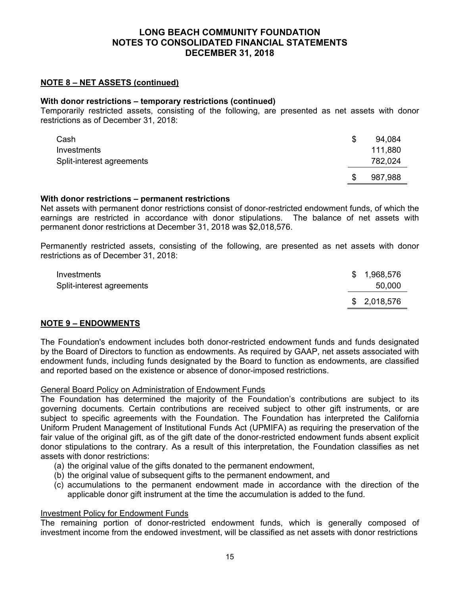## **NOTE 8 – NET ASSETS (continued)**

### **With donor restrictions – temporary restrictions (continued)**

Temporarily restricted assets, consisting of the following, are presented as net assets with donor restrictions as of December 31, 2018:

| Cash                      | S | 94,084  |
|---------------------------|---|---------|
| Investments               |   | 111,880 |
| Split-interest agreements |   | 782,024 |
|                           |   | 987,988 |

#### **With donor restrictions – permanent restrictions**

Net assets with permanent donor restrictions consist of donor-restricted endowment funds, of which the earnings are restricted in accordance with donor stipulations. The balance of net assets with permanent donor restrictions at December 31, 2018 was \$2,018,576.

Permanently restricted assets, consisting of the following, are presented as net assets with donor restrictions as of December 31, 2018:

| Investments<br>Split-interest agreements | \$1,968,576<br>50,000 |
|------------------------------------------|-----------------------|
|                                          | \$ 2,018,576          |

### **NOTE 9 – ENDOWMENTS**

The Foundation's endowment includes both donor-restricted endowment funds and funds designated by the Board of Directors to function as endowments. As required by GAAP, net assets associated with endowment funds, including funds designated by the Board to function as endowments, are classified and reported based on the existence or absence of donor-imposed restrictions.

#### General Board Policy on Administration of Endowment Funds

The Foundation has determined the majority of the Foundation's contributions are subject to its governing documents. Certain contributions are received subject to other gift instruments, or are subject to specific agreements with the Foundation. The Foundation has interpreted the California Uniform Prudent Management of Institutional Funds Act (UPMIFA) as requiring the preservation of the fair value of the original gift, as of the gift date of the donor-restricted endowment funds absent explicit donor stipulations to the contrary. As a result of this interpretation, the Foundation classifies as net assets with donor restrictions:

- (a) the original value of the gifts donated to the permanent endowment,
- (b) the original value of subsequent gifts to the permanent endowment, and
- (c) accumulations to the permanent endowment made in accordance with the direction of the applicable donor gift instrument at the time the accumulation is added to the fund.

#### Investment Policy for Endowment Funds

The remaining portion of donor-restricted endowment funds, which is generally composed of investment income from the endowed investment, will be classified as net assets with donor restrictions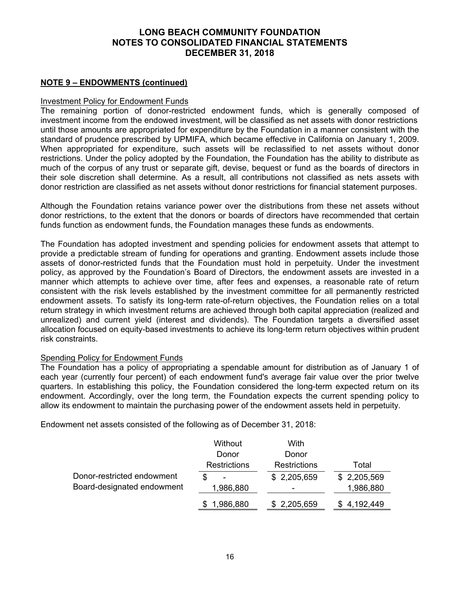## **NOTE 9 – ENDOWMENTS (continued)**

## **Investment Policy for Endowment Funds**

The remaining portion of donor-restricted endowment funds, which is generally composed of investment income from the endowed investment, will be classified as net assets with donor restrictions until those amounts are appropriated for expenditure by the Foundation in a manner consistent with the standard of prudence prescribed by UPMIFA, which became effective in California on January 1, 2009. When appropriated for expenditure, such assets will be reclassified to net assets without donor restrictions. Under the policy adopted by the Foundation, the Foundation has the ability to distribute as much of the corpus of any trust or separate gift, devise, bequest or fund as the boards of directors in their sole discretion shall determine. As a result, all contributions not classified as nets assets with donor restriction are classified as net assets without donor restrictions for financial statement purposes.

Although the Foundation retains variance power over the distributions from these net assets without donor restrictions, to the extent that the donors or boards of directors have recommended that certain funds function as endowment funds, the Foundation manages these funds as endowments.

The Foundation has adopted investment and spending policies for endowment assets that attempt to provide a predictable stream of funding for operations and granting. Endowment assets include those assets of donor-restricted funds that the Foundation must hold in perpetuity. Under the investment policy, as approved by the Foundation's Board of Directors, the endowment assets are invested in a manner which attempts to achieve over time, after fees and expenses, a reasonable rate of return consistent with the risk levels established by the investment committee for all permanently restricted endowment assets. To satisfy its long-term rate-of-return objectives, the Foundation relies on a total return strategy in which investment returns are achieved through both capital appreciation (realized and unrealized) and current yield (interest and dividends). The Foundation targets a diversified asset allocation focused on equity-based investments to achieve its long-term return objectives within prudent risk constraints.

### Spending Policy for Endowment Funds

The Foundation has a policy of appropriating a spendable amount for distribution as of January 1 of each year (currently four percent) of each endowment fund's average fair value over the prior twelve quarters. In establishing this policy, the Foundation considered the long-term expected return on its endowment. Accordingly, over the long term, the Foundation expects the current spending policy to allow its endowment to maintain the purchasing power of the endowment assets held in perpetuity.

Endowment net assets consisted of the following as of December 31, 2018:

|                                                          | Without             | With                |             |
|----------------------------------------------------------|---------------------|---------------------|-------------|
|                                                          | Donor               | Donor               |             |
| Donor-restricted endowment<br>Board-designated endowment | <b>Restrictions</b> | <b>Restrictions</b> | Total       |
|                                                          | -                   | \$2,205,659         | \$2,205,569 |
|                                                          | 1,986,880           |                     | 1,986,880   |
|                                                          | 1,986,880           | \$2,205,659         | \$4,192,449 |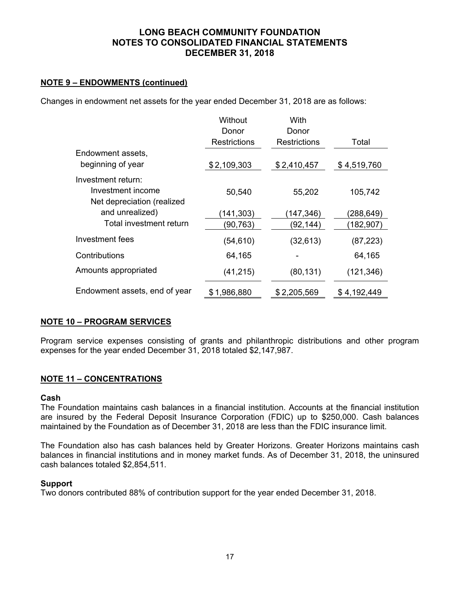## **NOTE 9 – ENDOWMENTS (continued)**

Changes in endowment net assets for the year ended December 31, 2018 are as follows:

|                               | Without             | With         |             |
|-------------------------------|---------------------|--------------|-------------|
|                               | Donor               | Donor        |             |
|                               | <b>Restrictions</b> | Restrictions | Total       |
| Endowment assets,             |                     |              |             |
| beginning of year             | \$2,109,303         | \$2,410,457  | \$4,519,760 |
| Investment return:            |                     |              |             |
| Investment income             | 50,540              | 55,202       | 105,742     |
| Net depreciation (realized    |                     |              |             |
| and unrealized)               | (141, 303)          | (147, 346)   | (288,649)   |
| Total investment return       | (90,763)            | (92,144)     | (182,907)   |
| Investment fees               | (54, 610)           | (32, 613)    | (87, 223)   |
| Contributions                 | 64,165              |              | 64,165      |
| Amounts appropriated          | (41, 215)           | (80, 131)    | (121, 346)  |
| Endowment assets, end of year | \$1,986,880         | \$2,205,569  | \$4,192,449 |

## **NOTE 10 – PROGRAM SERVICES**

Program service expenses consisting of grants and philanthropic distributions and other program expenses for the year ended December 31, 2018 totaled \$2,147,987.

### **NOTE 11 – CONCENTRATIONS**

### **Cash**

The Foundation maintains cash balances in a financial institution. Accounts at the financial institution are insured by the Federal Deposit Insurance Corporation (FDIC) up to \$250,000. Cash balances maintained by the Foundation as of December 31, 2018 are less than the FDIC insurance limit.

The Foundation also has cash balances held by Greater Horizons. Greater Horizons maintains cash balances in financial institutions and in money market funds. As of December 31, 2018, the uninsured cash balances totaled \$2,854,511.

### **Support**

Two donors contributed 88% of contribution support for the year ended December 31, 2018.